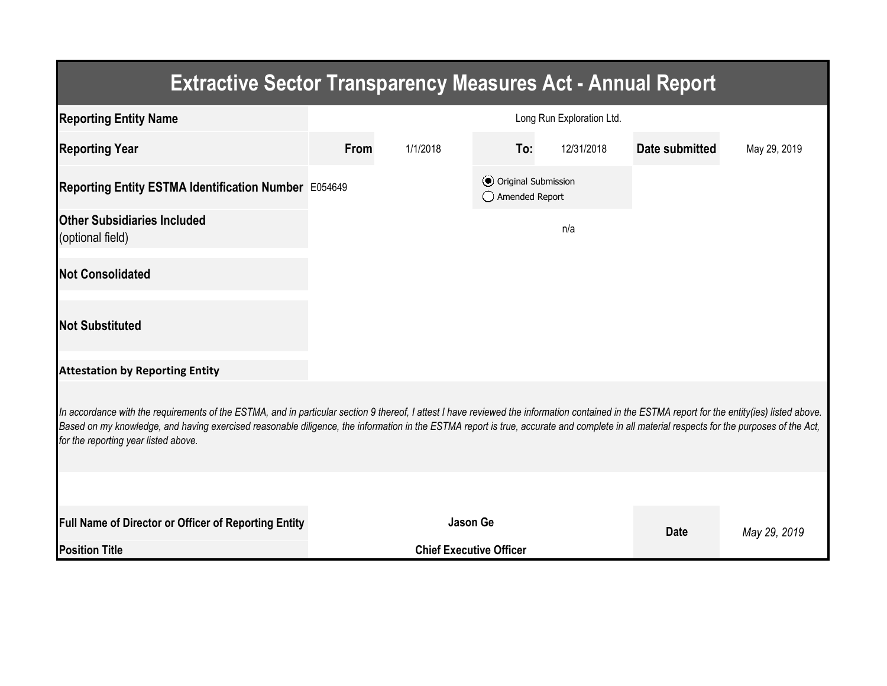| <b>Extractive Sector Transparency Measures Act - Annual Report</b>                                                                                                                                                                                                                                                                                                                                                                    |                                                  |                                |     |            |                |              |  |  |  |  |
|---------------------------------------------------------------------------------------------------------------------------------------------------------------------------------------------------------------------------------------------------------------------------------------------------------------------------------------------------------------------------------------------------------------------------------------|--------------------------------------------------|--------------------------------|-----|------------|----------------|--------------|--|--|--|--|
| <b>Reporting Entity Name</b>                                                                                                                                                                                                                                                                                                                                                                                                          | Long Run Exploration Ltd.                        |                                |     |            |                |              |  |  |  |  |
| <b>Reporting Year</b>                                                                                                                                                                                                                                                                                                                                                                                                                 | <b>From</b>                                      | 1/1/2018                       | To: | 12/31/2018 | Date submitted | May 29, 2019 |  |  |  |  |
| Reporting Entity ESTMA Identification Number E054649                                                                                                                                                                                                                                                                                                                                                                                  | <b>⊙</b> Original Submission<br>◯ Amended Report |                                |     |            |                |              |  |  |  |  |
| <b>Other Subsidiaries Included</b><br>(optional field)                                                                                                                                                                                                                                                                                                                                                                                |                                                  |                                |     | n/a        |                |              |  |  |  |  |
| <b>Not Consolidated</b>                                                                                                                                                                                                                                                                                                                                                                                                               |                                                  |                                |     |            |                |              |  |  |  |  |
| <b>Not Substituted</b>                                                                                                                                                                                                                                                                                                                                                                                                                |                                                  |                                |     |            |                |              |  |  |  |  |
| <b>Attestation by Reporting Entity</b>                                                                                                                                                                                                                                                                                                                                                                                                |                                                  |                                |     |            |                |              |  |  |  |  |
| In accordance with the requirements of the ESTMA, and in particular section 9 thereof, I attest I have reviewed the information contained in the ESTMA report for the entity(ies) listed above.<br>Based on my knowledge, and having exercised reasonable diligence, the information in the ESTMA report is true, accurate and complete in all material respects for the purposes of the Act,<br>for the reporting year listed above. |                                                  |                                |     |            |                |              |  |  |  |  |
|                                                                                                                                                                                                                                                                                                                                                                                                                                       |                                                  |                                |     |            |                |              |  |  |  |  |
| <b>Full Name of Director or Officer of Reporting Entity</b>                                                                                                                                                                                                                                                                                                                                                                           |                                                  | <b>Jason Ge</b>                |     |            | <b>Date</b>    | May 29, 2019 |  |  |  |  |
| <b>Position Title</b>                                                                                                                                                                                                                                                                                                                                                                                                                 |                                                  | <b>Chief Executive Officer</b> |     |            |                |              |  |  |  |  |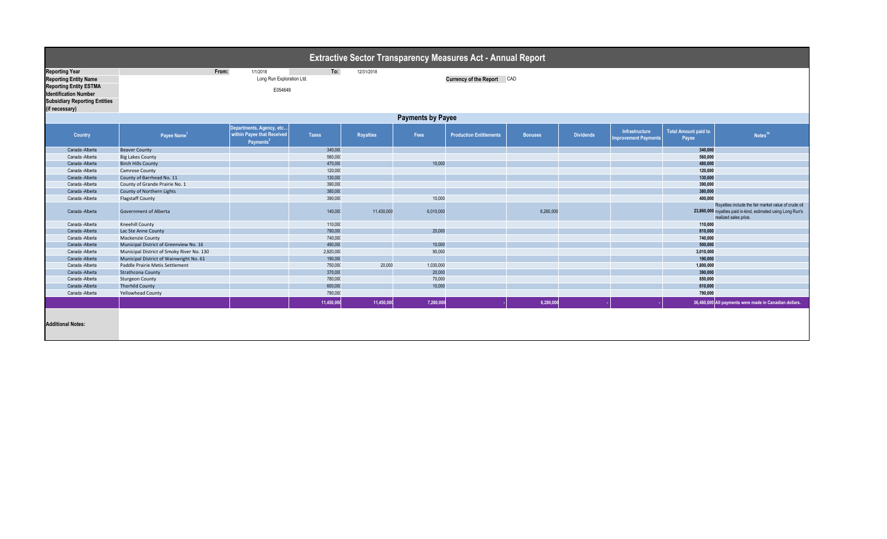| <b>Extractive Sector Transparency Measures Act - Annual Report</b>                                                                                                               |                                                                                                              |                                                                                 |                    |                  |                     |                                |                |                  |                                               |                                      |                                                                                                                                                |  |
|----------------------------------------------------------------------------------------------------------------------------------------------------------------------------------|--------------------------------------------------------------------------------------------------------------|---------------------------------------------------------------------------------|--------------------|------------------|---------------------|--------------------------------|----------------|------------------|-----------------------------------------------|--------------------------------------|------------------------------------------------------------------------------------------------------------------------------------------------|--|
| <b>Reporting Year</b><br><b>Reporting Entity Name</b><br><b>Reporting Entity ESTMA</b><br><b>Identification Number</b><br><b>Subsidiary Reporting Entities</b><br>(if necessary) | To:<br>From:<br>1/1/2018<br>12/31/2018<br>Long Run Exploration Ltd.<br>Currency of the Report CAD<br>E054649 |                                                                                 |                    |                  |                     |                                |                |                  |                                               |                                      |                                                                                                                                                |  |
|                                                                                                                                                                                  | <b>Payments by Payee</b>                                                                                     |                                                                                 |                    |                  |                     |                                |                |                  |                                               |                                      |                                                                                                                                                |  |
| Country                                                                                                                                                                          | Payee Name <sup>1</sup>                                                                                      | Departments, Agency, etc<br>within Payee that Received<br>Payments <sup>2</sup> | <b>Taxes</b>       | <b>Royalties</b> | Fees                | <b>Production Entitlements</b> | <b>Bonuses</b> | <b>Dividends</b> | Infrastructure<br><b>Improvement Payments</b> | <b>Total Amount paid to</b><br>Payee | Notes <sup>34</sup>                                                                                                                            |  |
| Canada - Alberta                                                                                                                                                                 | <b>Beaver County</b>                                                                                         |                                                                                 | 340,000            |                  |                     |                                |                |                  |                                               | 340,000                              |                                                                                                                                                |  |
| Canada -Alberta                                                                                                                                                                  | <b>Big Lakes County</b>                                                                                      |                                                                                 | 560,000            |                  |                     |                                |                |                  |                                               | 560,000                              |                                                                                                                                                |  |
| Canada -Alberta                                                                                                                                                                  | <b>Birch Hills County</b>                                                                                    |                                                                                 | 470,000            |                  | 10,000              |                                |                |                  |                                               | 480,000                              |                                                                                                                                                |  |
| Canada -Alberta                                                                                                                                                                  | <b>Camrose County</b>                                                                                        |                                                                                 | 120,000            |                  |                     |                                |                |                  |                                               | 120,000                              |                                                                                                                                                |  |
| Canada -Alberta                                                                                                                                                                  | County of Barrhead No. 11                                                                                    |                                                                                 | 130,000            |                  |                     |                                |                |                  |                                               | 130,000                              |                                                                                                                                                |  |
| Canada -Alberta                                                                                                                                                                  | County of Grande Prairie No. 1                                                                               |                                                                                 | 390,000            |                  |                     |                                |                |                  |                                               | 390,000                              |                                                                                                                                                |  |
| Canada -Alberta                                                                                                                                                                  | County of Northern Lights                                                                                    |                                                                                 | 380,000            |                  |                     |                                |                |                  |                                               | 380,000<br>400.000                   |                                                                                                                                                |  |
| Canada -Alberta<br>Canada - Alberta                                                                                                                                              | <b>Flagstaff County</b><br><b>Government of Alberta</b>                                                      |                                                                                 | 390,000<br>140,000 | 11,430,000       | 10,000<br>6,010,000 |                                | 6,280,000      |                  |                                               |                                      | Royalties include the fair market value of crude oil<br>23,860,000 royalties paid in-kind, estimated using Long Run's<br>realized sales price. |  |
| Canada -Alberta                                                                                                                                                                  | <b>Kneehill County</b>                                                                                       |                                                                                 | 110,000            |                  |                     |                                |                |                  |                                               | 110,000                              |                                                                                                                                                |  |
| Canada - Alberta                                                                                                                                                                 | Lac Ste Anne County                                                                                          |                                                                                 | 790,000            |                  | 20,000              |                                |                |                  |                                               | 810,000                              |                                                                                                                                                |  |
| Canada -Alberta                                                                                                                                                                  | Mackenzie County                                                                                             |                                                                                 | 740,000            |                  |                     |                                |                |                  |                                               | 740,000                              |                                                                                                                                                |  |
| Canada - Alberta                                                                                                                                                                 | Municipal District of Greenview No. 16                                                                       |                                                                                 | 490,000            |                  | 10,000              |                                |                |                  |                                               | 500,000                              |                                                                                                                                                |  |
| Canada - Alberta                                                                                                                                                                 | Municipal District of Smoky River No. 130                                                                    |                                                                                 | 2,920,000          |                  | 90,000              |                                |                |                  |                                               | 3,010,000                            |                                                                                                                                                |  |
| Canada -Alberta                                                                                                                                                                  | Municipal District of Wainwright No. 61                                                                      |                                                                                 | 190,000            |                  |                     |                                |                |                  |                                               | 190,000                              |                                                                                                                                                |  |
| Canada -Alberta                                                                                                                                                                  | Paddle Prairie Metis Settlement                                                                              |                                                                                 | 750,000            | 20,000           | 1,030,000           |                                |                |                  |                                               | 1,800,000                            |                                                                                                                                                |  |
| Canada - Alberta                                                                                                                                                                 | <b>Strathcona County</b>                                                                                     |                                                                                 | 370,000            |                  | 20,000              |                                |                |                  |                                               | 390,000                              |                                                                                                                                                |  |
| Canada -Alberta                                                                                                                                                                  | <b>Sturgeon County</b>                                                                                       |                                                                                 | 780,000            |                  | 70,000              |                                |                |                  |                                               | 850,000                              |                                                                                                                                                |  |
| Canada - Alberta                                                                                                                                                                 | <b>Thorhild County</b>                                                                                       |                                                                                 | 600,000            |                  | 10,000              |                                |                |                  |                                               | 610,000                              |                                                                                                                                                |  |
| Canada - Alberta                                                                                                                                                                 | <b>Yellowhead County</b>                                                                                     |                                                                                 | 790,000            |                  |                     |                                |                |                  |                                               | 790,000                              |                                                                                                                                                |  |
|                                                                                                                                                                                  |                                                                                                              |                                                                                 | 11,450,000         | 11,450,000       | 7,280,000           |                                | 6,280,000      |                  |                                               |                                      | 36,460,000 All payments were made in Canadian dollars.                                                                                         |  |
| <b>Additional Notes:</b>                                                                                                                                                         |                                                                                                              |                                                                                 |                    |                  |                     |                                |                |                  |                                               |                                      |                                                                                                                                                |  |